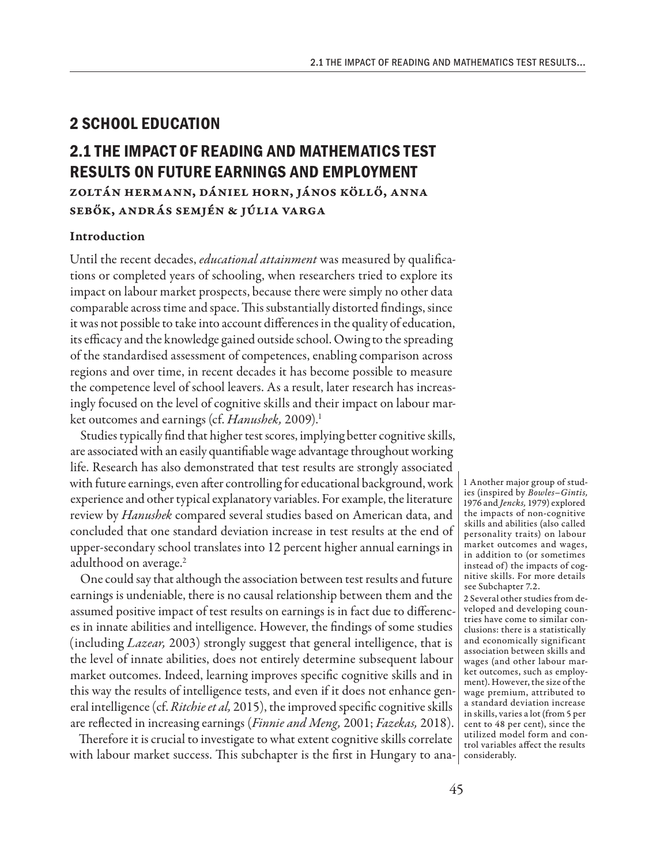# **2 SCHOOL EDUCATION**

# **2.1 THE IMPACT OF READING AND MATHEMATICS TEST RESULTS ON FUTURE EARNINGS AND EMPLOYMENT**

Zoltán Hermann, Dániel Horn, János Köllő, Anna Sebők, András Semjén & Júlia Varga

## Introduction

Until the recent decades, *educational attainment* was measured by qualifications or completed years of schooling, when researchers tried to explore its impact on labour market prospects, because there were simply no other data comparable across time and space. This substantially distorted findings, since it was not possible to take into account differences in the quality of education, its efficacy and the knowledge gained outside school. Owing to the spreading of the standardised assessment of competences, enabling comparison across regions and over time, in recent decades it has become possible to measure the competence level of school leavers. As a result, later research has increasingly focused on the level of cognitive skills and their impact on labour market outcomes and earnings (cf. *Hanushek*, 2009).<sup>1</sup>

Studies typically find that higher test scores, implying better cognitive skills, are associated with an easily quantifiable wage advantage throughout working life. Research has also demonstrated that test results are strongly associated with future earnings, even after controlling for educational background, work experience and other typical explanatory variables. For example, the literature review by *Hanushek* compared several studies based on American data, and concluded that one standard deviation increase in test results at the end of upper-secondary school translates into 12 percent higher annual earnings in adulthood on average.<sup>2</sup>

One could say that although the association between test results and future earnings is undeniable, there is no causal relationship between them and the assumed positive impact of test results on earnings is in fact due to differences in innate abilities and intelligence. However, the findings of some studies (including *Lazear,* 2003) strongly suggest that general intelligence, that is the level of innate abilities, does not entirely determine subsequent labour market outcomes. Indeed, learning improves specific cognitive skills and in this way the results of intelligence tests, and even if it does not enhance general intelligence (cf. *Ritchie et al*, 2015), the improved specific cognitive skills are reflected in increasing earnings (*Finnie and Meng,* 2001; *Fazekas,* 2018).

Therefore it is crucial to investigate to what extent cognitive skills correlate with labour market success. This subchapter is the first in Hungary to ana-considerably.

1 Another major group of studies (inspired by *Bowles–Gintis,* 1976 and *Jencks,* 1979) explored the impacts of non-cognitive skills and abilities (also called personality traits) on labour market outcomes and wages, in addition to (or sometimes instead of) the impacts of cognitive skills. For more details see Subchapter 7.2.

2 Several other studies from developed and developing countries have come to similar conclusions: there is a statistically and economically significant association between skills and wages (and other labour market outcomes, such as employment). However, the size of the wage premium, attributed to a standard deviation increase in skills, varies a lot (from 5 per cent to 48 per cent), since the utilized model form and control variables affect the results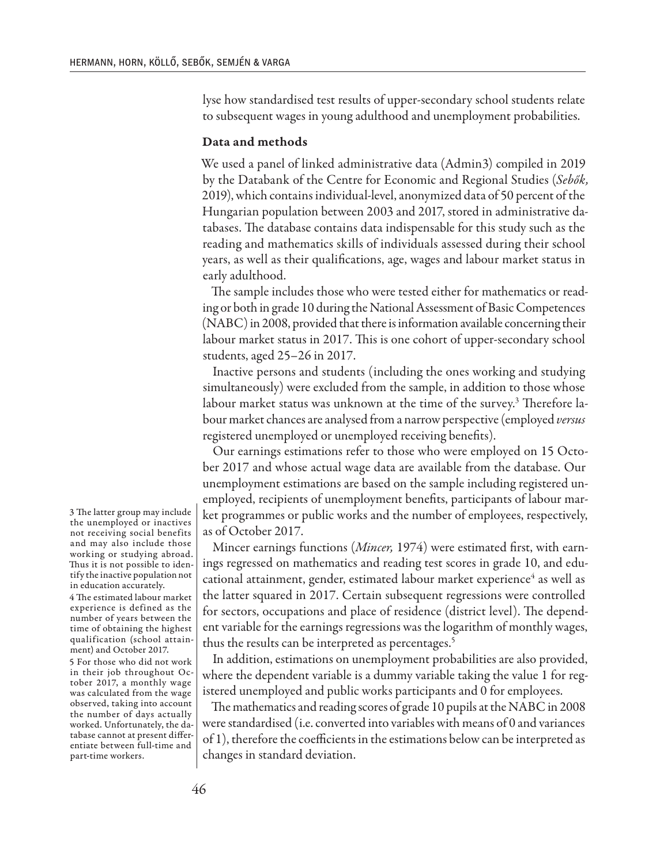lyse how standardised test results of upper-secondary school students relate to subsequent wages in young adulthood and unemployment probabilities.

### Data and methods

We used a panel of linked administrative data (Admin3) compiled in 2019 by the Databank of the Centre for Economic and Regional Studies (*Sebők,* 2019), which contains individual-level, anonymized data of 50 percent of the Hungarian population between 2003 and 2017, stored in administrative databases. The database contains data indispensable for this study such as the reading and mathematics skills of individuals assessed during their school years, as well as their qualifications, age, wages and labour market status in early adulthood.

The sample includes those who were tested either for mathematics or reading or both in grade 10 during the National Assessment of Basic Competences (NABC) in 2008, provided that there is information available concerning their labour market status in 2017. This is one cohort of upper-secondary school students, aged 25–26 in 2017.

Inactive persons and students (including the ones working and studying simultaneously) were excluded from the sample, in addition to those whose labour market status was unknown at the time of the survey.3 Therefore labour market chances are analysed from a narrow perspective (employed *versus* registered unemployed or unemployed receiving benefits).

Our earnings estimations refer to those who were employed on 15 October 2017 and whose actual wage data are available from the database. Our unemployment estimations are based on the sample including registered unemployed, recipients of unemployment benefits, participants of labour market programmes or public works and the number of employees, respectively, as of October 2017.

Mincer earnings functions (*Mincer,* 1974) were estimated first, with earnings regressed on mathematics and reading test scores in grade 10, and educational attainment, gender, estimated labour market experience<sup>4</sup> as well as the latter squared in 2017. Certain subsequent regressions were controlled for sectors, occupations and place of residence (district level). The dependent variable for the earnings regressions was the logarithm of monthly wages, thus the results can be interpreted as percentages.<sup>5</sup>

In addition, estimations on unemployment probabilities are also provided, where the dependent variable is a dummy variable taking the value 1 for registered unemployed and public works participants and 0 for employees.

The mathematics and reading scores of grade 10 pupils at the NABC in 2008 were standardised (i.e. converted into variables with means of 0 and variances of 1), therefore the coefficients in the estimations below can be interpreted as changes in standard deviation.

3 The latter group may include the unemployed or inactives not receiving social benefits and may also include those working or studying abroad. Thus it is not possible to identify the inactive population not in education accurately.

4 The estimated labour market experience is defined as the number of years between the time of obtaining the highest qualification (school attainment) and October 2017.

5 For those who did not work in their job throughout October 2017, a monthly wage was calculated from the wage observed, taking into account the number of days actually worked. Unfortunately, the database cannot at present differentiate between full-time and part-time workers.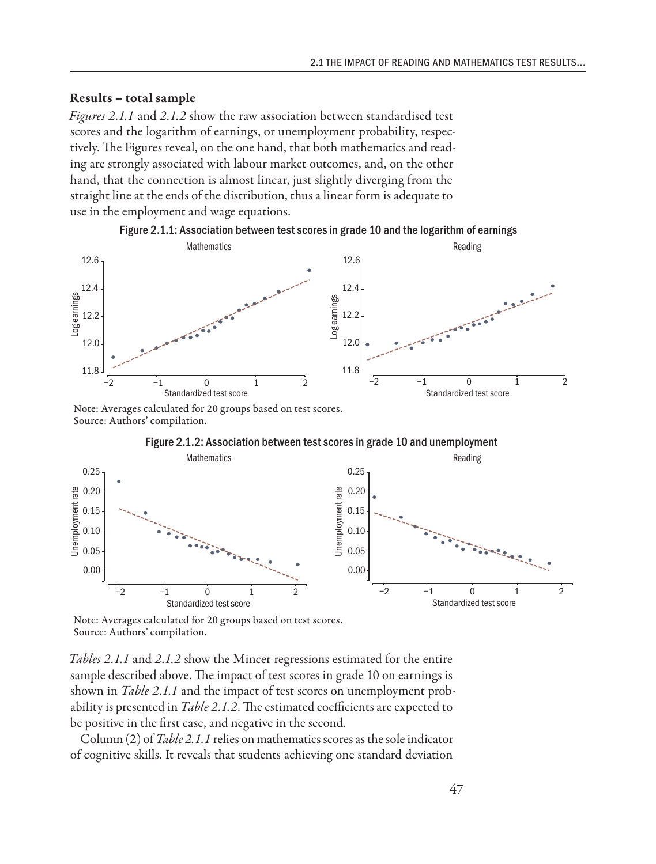#### Results – total sample

*Figures 2.1.1* and *2.1.2* show the raw association between standardised test scores and the logarithm of earnings, or unemployment probability, respectively. The Figures reveal, on the one hand, that both mathematics and reading are strongly associated with labour market outcomes, and, on the other hand, that the connection is almost linear, just slightly diverging from the straight line at the ends of the distribution, thus a linear form is adequate to use in the employment and wage equations.



Figure 2.1.1: Association between test scores in grade 10 and the logarithm of earnings

Note: Averages calculated for 20 groups based on test scores. Source: Authors' compilation.



Figure 2.1.2: Association between test scores in grade 10 and unemployment

Note: Averages calculated for 20 groups based on test scores. Source: Authors' compilation.

*Tables 2.1.1* and *2.1.2* show the Mincer regressions estimated for the entire sample described above. The impact of test scores in grade 10 on earnings is shown in *Table 2.1.1* and the impact of test scores on unemployment probability is presented in *Table 2.1.2*. The estimated coefficients are expected to be positive in the first case, and negative in the second.

Column (2) of *Table 2.1.1* relies on mathematics scores as the sole indicator of cognitive skills. It reveals that students achieving one standard deviation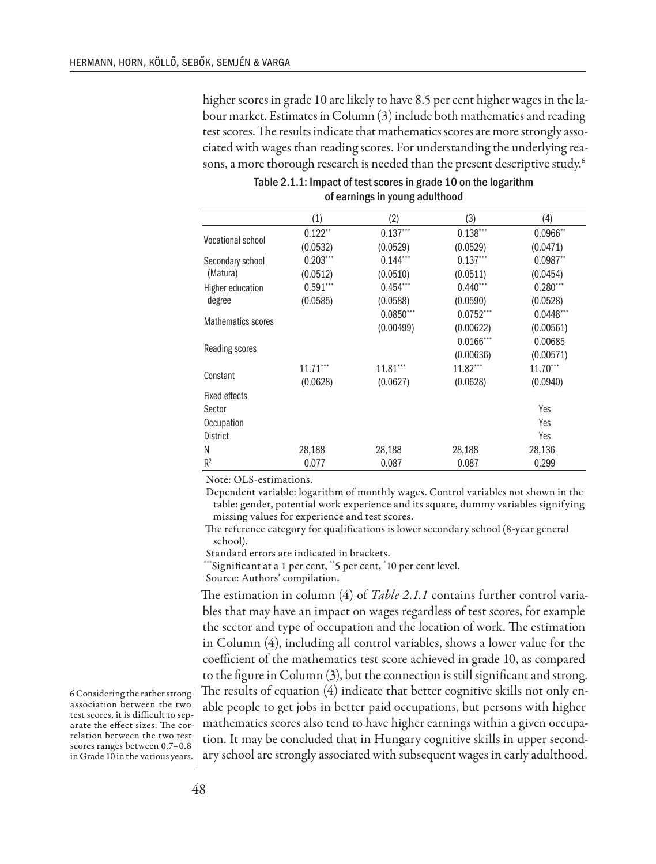higher scores in grade 10 are likely to have 8.5 per cent higher wages in the labour market. Estimates in Column (3) include both mathematics and reading test scores. The results indicate that mathematics scores are more strongly associated with wages than reading scores. For understanding the underlying reasons, a more thorough research is needed than the present descriptive study.<sup>6</sup>

|                           | (1)        | (2)                    | (3)          | (4)         |
|---------------------------|------------|------------------------|--------------|-------------|
| <b>Vocational school</b>  | $0.122**$  | $0.137***$             | $0.138***$   | $0.0966**$  |
|                           | (0.0532)   | (0.0529)               | (0.0529)     | (0.0471)    |
| Secondary school          | $0.203***$ | $0.144***$             | $0.137***$   | $0.0987**$  |
| (Matura)                  | (0.0512)   | (0.0510)               | (0.0511)     | (0.0454)    |
| <b>Higher education</b>   | $0.591***$ | $0.454***$             | $0.440***$   | $0.280***$  |
| degree                    | (0.0585)   | (0.0588)               | (0.0590)     | (0.0528)    |
| <b>Mathematics scores</b> |            | $0.0850***$            | $0.0752***$  | $0.0448***$ |
|                           |            | (0.00499)              | (0.00622)    | (0.00561)   |
| Reading scores            |            |                        | $0.0166$ *** | 0.00685     |
|                           |            |                        | (0.00636)    | (0.00571)   |
| Constant                  | $11.71***$ | $11.81$ <sup>***</sup> | 11.82***     | $11.70***$  |
|                           | (0.0628)   | (0.0627)               | (0.0628)     | (0.0940)    |
| <b>Fixed effects</b>      |            |                        |              |             |
| Sector                    |            |                        |              | Yes         |
| Occupation                |            |                        |              | Yes         |
| <b>District</b>           |            |                        |              | Yes         |
| N                         | 28,188     | 28,188                 | 28,188       | 28,136      |
| $R^2$                     | 0.077      | 0.087                  | 0.087        | 0.299       |

Table 2.1.1: Impact of test scores in grade 10 on the logarithm of earnings in young adulthood

Note: OLS-estimations.

Dependent variable: logarithm of monthly wages. Control variables not shown in the table: gender, potential work experience and its square, dummy variables signifying missing values for experience and test scores.

The reference category for qualifications is lower secondary school (8-year general school).

Standard errors are indicated in brackets.

\*\*\*Significant at a 1 per cent, \*\*5 per cent, \* 10 per cent level.

Source: Authors' compilation.

The estimation in column (4) of *Table 2.1.1* contains further control variables that may have an impact on wages regardless of test scores, for example the sector and type of occupation and the location of work. The estimation in Column (4), including all control variables, shows a lower value for the coefficient of the mathematics test score achieved in grade 10, as compared to the figure in Column (3), but the connection is still significant and strong. The results of equation (4) indicate that better cognitive skills not only enable people to get jobs in better paid occupations, but persons with higher mathematics scores also tend to have higher earnings within a given occupation. It may be concluded that in Hungary cognitive skills in upper secondary school are strongly associated with subsequent wages in early adulthood.

6 Considering the rather strong association between the two test scores, it is difficult to separate the effect sizes. The correlation between the two test scores ranges between 0.7–0.8 in Grade 10 in the various years.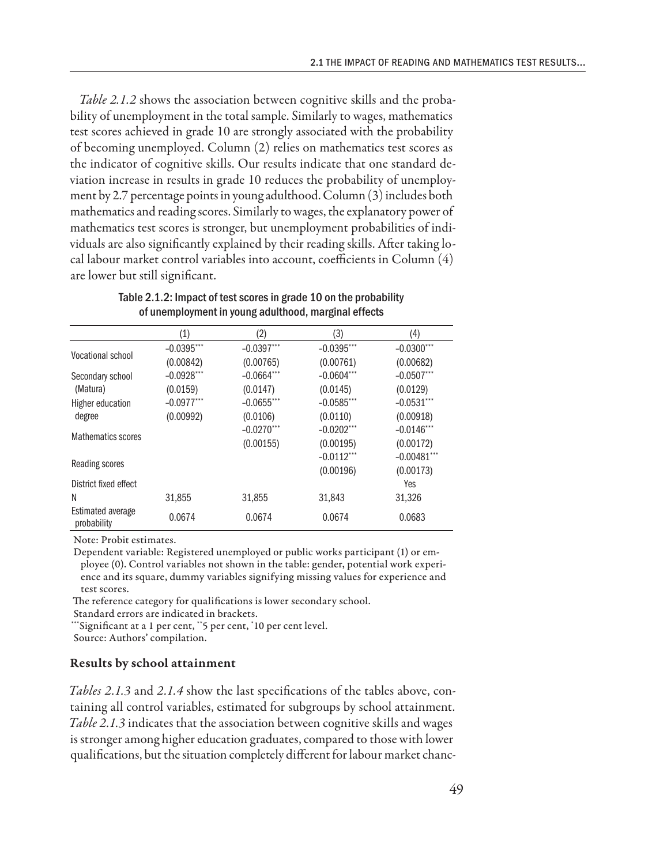*Table 2.1.2* shows the association between cognitive skills and the probability of unemployment in the total sample. Similarly to wages, mathematics test scores achieved in grade 10 are strongly associated with the probability of becoming unemployed. Column (2) relies on mathematics test scores as the indicator of cognitive skills. Our results indicate that one standard deviation increase in results in grade 10 reduces the probability of unemployment by 2.7 percentage points in young adulthood. Column (3) includes both mathematics and reading scores. Similarly to wages, the explanatory power of mathematics test scores is stronger, but unemployment probabilities of individuals are also significantly explained by their reading skills. After taking local labour market control variables into account, coefficients in Column (4) are lower but still significant.

|                                  | (1)          | (2)           | (3)          | (4)            |
|----------------------------------|--------------|---------------|--------------|----------------|
| <b>Vocational school</b>         | $-0.0395***$ | $-0.0397***$  | $-0.0395***$ | $-0.0300$ ***  |
|                                  | (0.00842)    | (0.00765)     | (0.00761)    | (0.00682)      |
| Secondary school                 | $-0.0928***$ | $-0.0664***$  | $-0.0604***$ | $-0.0507***$   |
| (Matura)                         | (0.0159)     | (0.0147)      | (0.0145)     | (0.0129)       |
| Higher education                 | $-0.0977***$ | $-0.0655$ *** | $-0.0585***$ | $-0.0531***$   |
| degree                           | (0.00992)    | (0.0106)      | (0.0110)     | (0.00918)      |
| <b>Mathematics scores</b>        |              | $-0.0270$ *** | $-0.0202***$ | $-0.0146$ ***  |
|                                  |              | (0.00155)     | (0.00195)    | (0.00172)      |
| Reading scores                   |              |               | $-0.0112***$ | $-0.00481$ *** |
|                                  |              |               | (0.00196)    | (0.00173)      |
| District fixed effect            |              |               |              | Yes            |
| N                                | 31,855       | 31,855        | 31,843       | 31,326         |
| Estimated average<br>probability | 0.0674       | 0.0674        | 0.0674       | 0.0683         |

Table 2.1.2: Impact of test scores in grade 10 on the probability of unemployment in young adulthood, marginal effects

Note: Probit estimates.

Dependent variable: Registered unemployed or public works participant (1) or employee (0). Control variables not shown in the table: gender, potential work experience and its square, dummy variables signifying missing values for experience and test scores.

The reference category for qualifications is lower secondary school.

Standard errors are indicated in brackets.

\*\*\*Significant at a 1 per cent, \*\*5 per cent, \* 10 per cent level.

Source: Authors' compilation.

#### Results by school attainment

*Tables 2.1.3* and *2.1.4* show the last specifications of the tables above, containing all control variables, estimated for subgroups by school attainment. *Table 2.1.3* indicates that the association between cognitive skills and wages is stronger among higher education graduates, compared to those with lower qualifications, but the situation completely different for labour market chanc-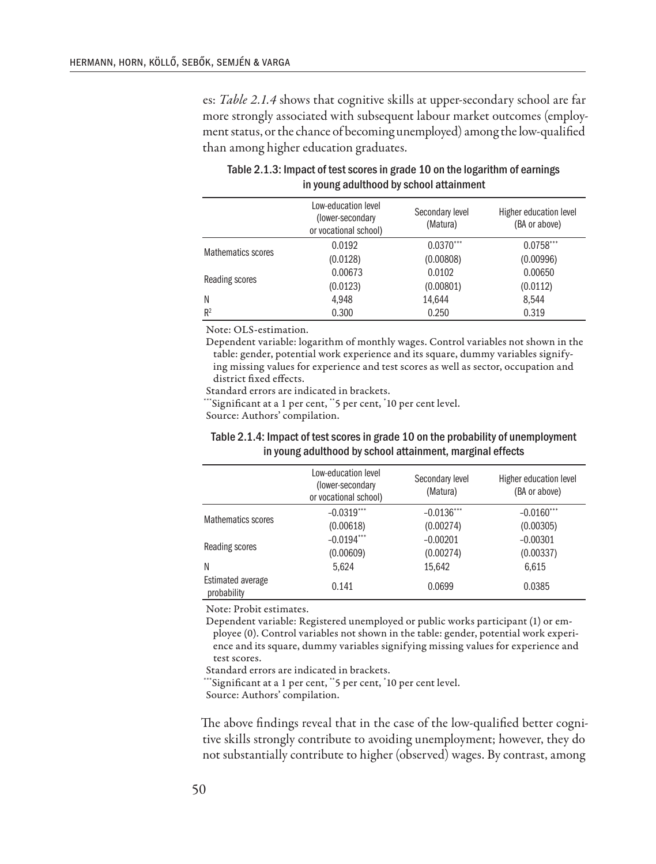es: *Table 2.1.4* shows that cognitive skills at upper-secondary school are far more strongly associated with subsequent labour market outcomes (employment status, or the chance of becoming unemployed) among the low-qualified than among higher education graduates.

|                           | Low-education level<br>(lower-secondary)<br>or vocational school) | Secondary level<br>(Matura) | Higher education level<br>(BA or above) |
|---------------------------|-------------------------------------------------------------------|-----------------------------|-----------------------------------------|
| <b>Mathematics scores</b> | 0.0192                                                            | $0.0370***$                 | $0.0758***$                             |
|                           | (0.0128)                                                          | (0.00808)                   | (0.00996)                               |
| Reading scores            | 0.00673                                                           | 0.0102                      | 0.00650                                 |
|                           | (0.0123)                                                          | (0.00801)                   | (0.0112)                                |
| N                         | 4.948                                                             | 14,644                      | 8.544                                   |
| R <sup>2</sup>            | 0.300                                                             | 0.250                       | 0.319                                   |

| Table 2.1.3: Impact of test scores in grade 10 on the logarithm of earnings |
|-----------------------------------------------------------------------------|
| in young adulthood by school attainment                                     |

Note: OLS-estimation.

Dependent variable: logarithm of monthly wages. Control variables not shown in the table: gender, potential work experience and its square, dummy variables signifying missing values for experience and test scores as well as sector, occupation and district fixed effects.

Standard errors are indicated in brackets.

\*\*\*Significant at a 1 per cent, \*\*5 per cent, \* 10 per cent level.

Source: Authors' compilation.

| Table 2.1.4: Impact of test scores in grade 10 on the probability of unemployment |
|-----------------------------------------------------------------------------------|
| in young adulthood by school attainment, marginal effects                         |

|                                  | Low-education level<br>(lower-secondary)<br>or vocational school) | Secondary level<br>(Matura) | Higher education level<br>(BA or above) |
|----------------------------------|-------------------------------------------------------------------|-----------------------------|-----------------------------------------|
| <b>Mathematics scores</b>        | $-0.0319***$                                                      | $-0.0136***$                | $-0.0160***$                            |
|                                  | (0.00618)                                                         | (0.00274)                   | (0.00305)                               |
| Reading scores                   | $-0.0194***$                                                      | $-0.00201$                  | $-0.00301$                              |
|                                  | (0.00609)                                                         | (0.00274)                   | (0.00337)                               |
| N                                | 5,624                                                             | 15,642                      | 6,615                                   |
| Estimated average<br>probability | 0.141                                                             | 0.0699                      | 0.0385                                  |

Note: Probit estimates.

Dependent variable: Registered unemployed or public works participant (1) or employee (0). Control variables not shown in the table: gender, potential work experience and its square, dummy variables signifying missing values for experience and test scores.

Standard errors are indicated in brackets.

\*\*\*Significant at a 1 per cent, \*\*5 per cent, \* 10 per cent level.

Source: Authors' compilation.

The above findings reveal that in the case of the low-qualified better cognitive skills strongly contribute to avoiding unemployment; however, they do not substantially contribute to higher (observed) wages. By contrast, among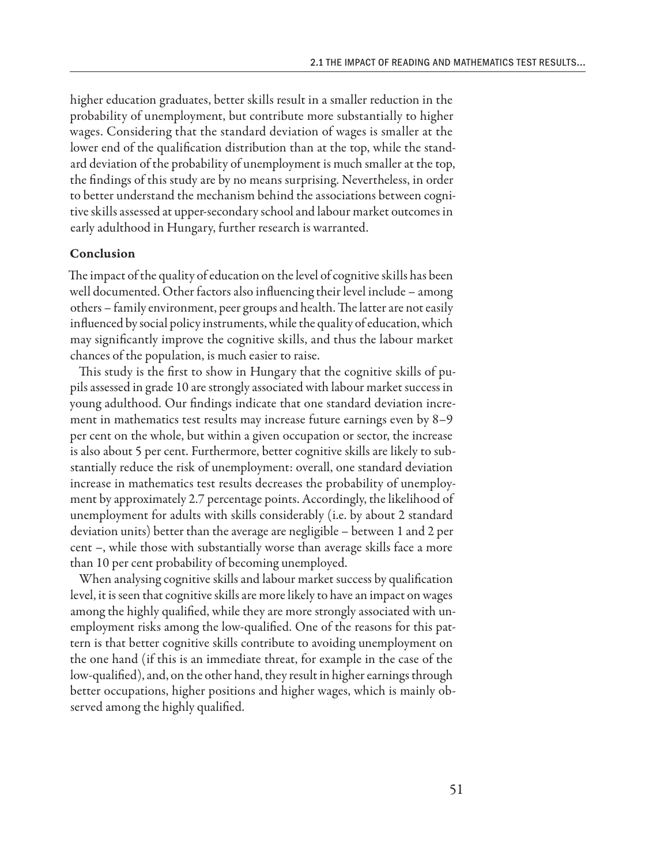higher education graduates, better skills result in a smaller reduction in the probability of unemployment, but contribute more substantially to higher wages. Considering that the standard deviation of wages is smaller at the lower end of the qualification distribution than at the top, while the standard deviation of the probability of unemployment is much smaller at the top, the findings of this study are by no means surprising. Nevertheless, in order to better understand the mechanism behind the associations between cognitive skills assessed at upper-secondary school and labour market outcomes in early adulthood in Hungary, further research is warranted.

### Conclusion

The impact of the quality of education on the level of cognitive skills has been well documented. Other factors also influencing their level include – among others – family environment, peer groups and health. The latter are not easily influenced by social policy instruments, while the quality of education, which may significantly improve the cognitive skills, and thus the labour market chances of the population, is much easier to raise.

This study is the first to show in Hungary that the cognitive skills of pupils assessed in grade 10 are strongly associated with labour market success in young adulthood. Our findings indicate that one standard deviation increment in mathematics test results may increase future earnings even by 8–9 per cent on the whole, but within a given occupation or sector, the increase is also about 5 per cent. Furthermore, better cognitive skills are likely to substantially reduce the risk of unemployment: overall, one standard deviation increase in mathematics test results decreases the probability of unemployment by approximately 2.7 percentage points. Accordingly, the likelihood of unemployment for adults with skills considerably (i.e. by about 2 standard deviation units) better than the average are negligible – between 1 and 2 per cent –, while those with substantially worse than average skills face a more than 10 per cent probability of becoming unemployed.

When analysing cognitive skills and labour market success by qualification level, it is seen that cognitive skills are more likely to have an impact on wages among the highly qualified, while they are more strongly associated with unemployment risks among the low-qualified. One of the reasons for this pattern is that better cognitive skills contribute to avoiding unemployment on the one hand (if this is an immediate threat, for example in the case of the low-qualified), and, on the other hand, they result in higher earnings through better occupations, higher positions and higher wages, which is mainly observed among the highly qualified.